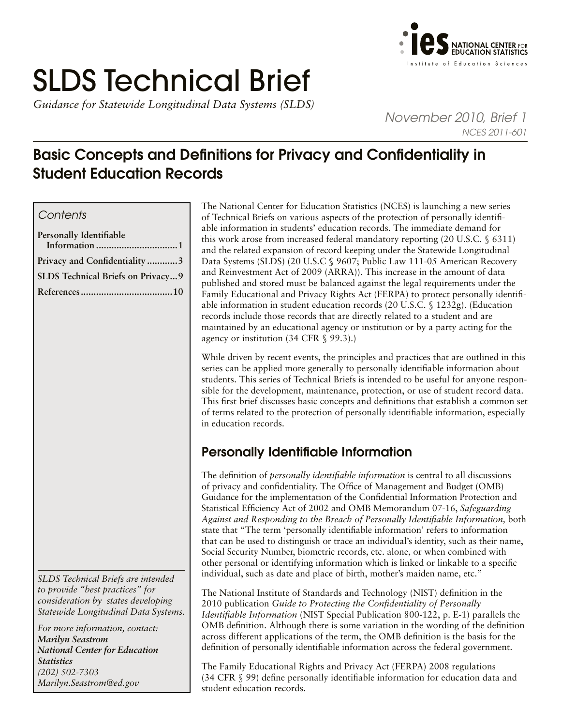# SLDS Technical Brief

*Guidance for Statewide Longitudinal Data Systems (SLDS)* 



*November 2010, Brief 1 NCES 2011-601*

# Basic Concepts and Definitions for Privacy and Confidentiality in Student Education Records

# *Contents*

| Personally Identifiable            |  |
|------------------------------------|--|
| Privacy and Confidentiality3       |  |
| SLDS Technical Briefs on Privacy 9 |  |
|                                    |  |

*SLDS Technical Briefs are intended to provide "best practices" for consideration by states developing Statewide Longitudinal Data Systems.* 

*For more information, contact: Marilyn Seastrom National Center for Education Statistics (202) 502-7303 [Marilyn.Seastrom@ed.gov](mailto:Marilyn.Seastrom%40ed.gov?subject=)*

The National Center for Education Statistics (NCES) is launching a new series of Technical Briefs on various aspects of the protection of personally identifiable information in students' education records. The immediate demand for this work arose from increased federal mandatory reporting (20 U.S.C. § 6311) and the related expansion of record keeping under the Statewide Longitudinal Data Systems (SLDS) (20 U.S.C § 9607; Public Law 111-05 American Recovery and Reinvestment Act of 2009 (ARRA)). This increase in the amount of data published and stored must be balanced against the legal requirements under the Family Educational and Privacy Rights Act (FERPA) to protect personally identifiable information in student education records (20 U.S.C. § 1232g). (Education records include those records that are directly related to a student and are maintained by an educational agency or institution or by a party acting for the agency or institution (34 CFR § 99.3).)

While driven by recent events, the principles and practices that are outlined in this series can be applied more generally to personally identifiable information about students. This series of Technical Briefs is intended to be useful for anyone responsible for the development, maintenance, protection, or use of student record data. This first brief discusses basic concepts and definitions that establish a common set of terms related to the protection of personally identifiable information, especially in education records.

# Personally Identifiable Information

The definition of *personally identifiable information* is central to all discussions of privacy and confidentiality. The Office of Management and Budget (OMB) Guidance for the implementation of the Confidential Information Protection and Statistical Efficiency Act of 2002 and OMB Memorandum 07-16, *Safeguarding Against and Responding to the Breach of Personally Identifiable Information,* both state that "The term 'personally identifiable information' refers to information that can be used to distinguish or trace an individual's identity, such as their name, Social Security Number, biometric records, etc. alone, or when combined with other personal or identifying information which is linked or linkable to a specific individual, such as date and place of birth, mother's maiden name, etc."

The National Institute of Standards and Technology (NIST) definition in the 2010 publication *Guide to Protecting the Confidentiality of Personally Identifiable Information* (NIST Special Publication 800-122, p. E-1) parallels the OMB definition. Although there is some variation in the wording of the definition across different applications of the term, the OMB definition is the basis for the definition of personally identifiable information across the federal government.

The Family Educational Rights and Privacy Act (FERPA) 2008 regulations (34 CFR § 99) define personally identifiable information for education data and student education records.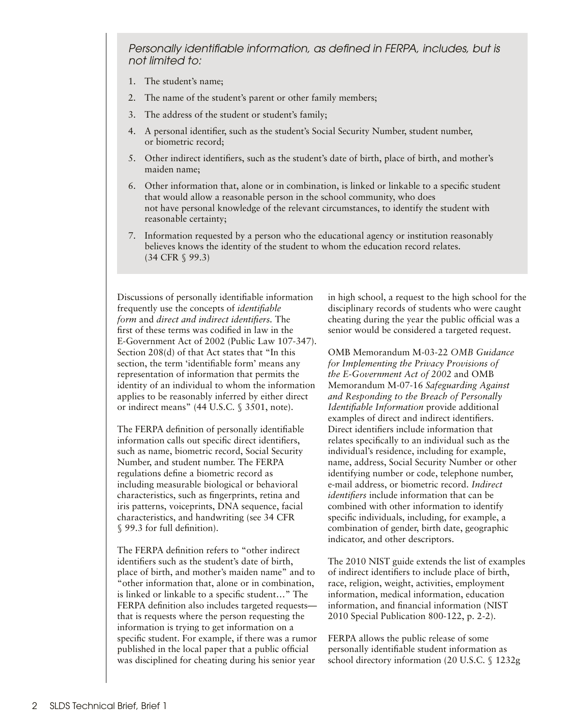*Personally identifiable information, as defined in FERPA, includes, but is not limited to:* 

- 1. The student's name;
- 2. The name of the student's parent or other family members;
- 3. The address of the student or student's family;
- 4. A personal identifier, such as the student's Social Security Number, student number, or biometric record;
- 5. Other indirect identifiers, such as the student's date of birth, place of birth, and mother's maiden name;
- 6. Other information that, alone or in combination, is linked or linkable to a specific student that would allow a reasonable person in the school community, who does not have personal knowledge of the relevant circumstances, to identify the student with reasonable certainty;
- 7. Information requested by a person who the educational agency or institution reasonably believes knows the identity of the student to whom the education record relates. (34 CFR § 99.3)

Discussions of personally identifiable information frequently use the concepts of *identifiable form* and *direct and indirect identifiers.* The first of these terms was codified in law in the E-Government Act of 2002 (Public Law 107-347). Section 208(d) of that Act states that "In this section, the term 'identifiable form' means any representation of information that permits the identity of an individual to whom the information applies to be reasonably inferred by either direct or indirect means" (44 U.S.C. § 3501, note).

The FERPA definition of personally identifiable information calls out specific direct identifiers, such as name, biometric record, Social Security Number, and student number. The FERPA regulations define a biometric record as including measurable biological or behavioral characteristics, such as fingerprints, retina and iris patterns, voiceprints, DNA sequence, facial characteristics, and handwriting (see 34 CFR § 99.3 for full definition).

The FERPA definition refers to "other indirect identifiers such as the student's date of birth, place of birth, and mother's maiden name" and to "other information that, alone or in combination, is linked or linkable to a specific student…" The FERPA definition also includes targeted requests that is requests where the person requesting the information is trying to get information on a specific student. For example, if there was a rumor published in the local paper that a public official was disciplined for cheating during his senior year

in high school, a request to the high school for the disciplinary records of students who were caught cheating during the year the public official was a senior would be considered a targeted request.

OMB Memorandum M-03-22 *OMB Guidance for Implementing the Privacy Provisions of the E-Government Act of 2002* and OMB Memorandum M-07-16 *Safeguarding Against and Responding to the Breach of Personally Identifiable Information* provide additional examples of direct and indirect identifiers. Direct identifiers include information that relates specifically to an individual such as the individual's residence, including for example, name, address, Social Security Number or other identifying number or code, telephone number, e-mail address, or biometric record. *Indirect identifiers* include information that can be combined with other information to identify specific individuals, including, for example, a combination of gender, birth date, geographic indicator, and other descriptors.

The 2010 NIST guide extends the list of examples of indirect identifiers to include place of birth, race, religion, weight, activities, employment information, medical information, education information, and financial information (NIST 2010 Special Publication 800-122, p. 2-2).

FERPA allows the public release of some personally identifiable student information as school directory information (20 U.S.C. § 1232g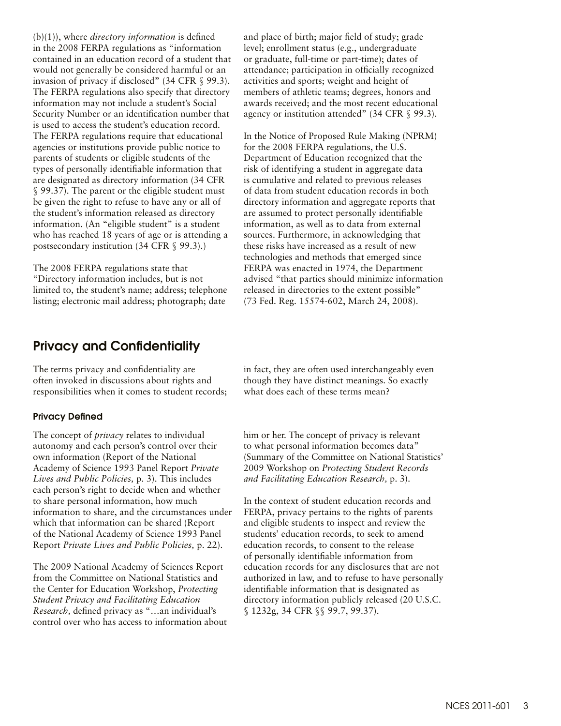<span id="page-2-0"></span>(b)(1)), where *directory information* is defined in the 2008 FERPA regulations as "information contained in an education record of a student that would not generally be considered harmful or an invasion of privacy if disclosed" (34 CFR § 99.3). The FERPA regulations also specify that directory information may not include a student's Social Security Number or an identification number that is used to access the student's education record. The FERPA regulations require that educational agencies or institutions provide public notice to parents of students or eligible students of the types of personally identifiable information that are designated as directory information (34 CFR § 99.37). The parent or the eligible student must be given the right to refuse to have any or all of the student's information released as directory information. (An "eligible student" is a student who has reached 18 years of age or is attending a postsecondary institution (34 CFR § 99.3).)

The 2008 FERPA regulations state that "Directory information includes, but is not limited to, the student's name; address; telephone listing; electronic mail address; photograph; date

# Privacy and Confidentiality

The terms privacy and confidentiality are often invoked in discussions about rights and responsibilities when it comes to student records;

#### Privacy Defined

The concept of *privacy* relates to individual autonomy and each person's control over their own information (Report of the National Academy of Science 1993 Panel Report *Private Lives and Public Policies,* p. 3). This includes each person's right to decide when and whether to share personal information, how much information to share, and the circumstances under which that information can be shared (Report of the National Academy of Science 1993 Panel Report *Private Lives and Public Policies,* p. 22).

The 2009 National Academy of Sciences Report from the Committee on National Statistics and the Center for Education Workshop, *Protecting Student Privacy and Facilitating Education Research,* defined privacy as "…an individual's control over who has access to information about and place of birth; major field of study; grade level; enrollment status (e.g., undergraduate or graduate, full-time or part-time); dates of attendance; participation in officially recognized activities and sports; weight and height of members of athletic teams; degrees, honors and awards received; and the most recent educational agency or institution attended" (34 CFR § 99.3).

In the Notice of Proposed Rule Making (NPRM) for the 2008 FERPA regulations, the U.S. Department of Education recognized that the risk of identifying a student in aggregate data is cumulative and related to previous releases of data from student education records in both directory information and aggregate reports that are assumed to protect personally identifiable information, as well as to data from external sources. Furthermore, in acknowledging that these risks have increased as a result of new technologies and methods that emerged since FERPA was enacted in 1974, the Department advised "that parties should minimize information released in directories to the extent possible" (73 Fed. Reg. 15574-602, March 24, 2008).

in fact, they are often used interchangeably even though they have distinct meanings. So exactly what does each of these terms mean?

him or her. The concept of privacy is relevant to what personal information becomes data" (Summary of the Committee on National Statistics' 2009 Workshop on *Protecting Student Records and Facilitating Education Research,* p. 3).

In the context of student education records and FERPA, privacy pertains to the rights of parents and eligible students to inspect and review the students' education records, to seek to amend education records, to consent to the release of personally identifiable information from education records for any disclosures that are not authorized in law, and to refuse to have personally identifiable information that is designated as directory information publicly released (20 U.S.C. § 1232g, 34 CFR §§ 99.7, 99.37).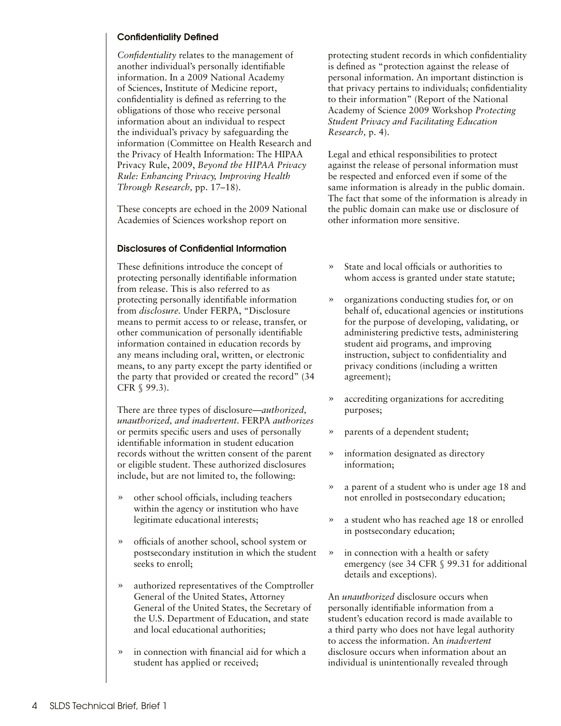## Confidentiality Defined

*Confidentiality* relates to the management of another individual's personally identifiable information. In a 2009 National Academy of Sciences, Institute of Medicine report, confidentiality is defined as referring to the obligations of those who receive personal information about an individual to respect the individual's privacy by safeguarding the information (Committee on Health Research and the Privacy of Health Information: The HIPAA Privacy Rule, 2009, *Beyond the HIPAA Privacy Rule: Enhancing Privacy, Improving Health Through Research,* pp. 17–18).

These concepts are echoed in the 2009 National Academies of Sciences workshop report on

### Disclosures of Confidential Information

These definitions introduce the concept of protecting personally identifiable information from release. This is also referred to as protecting personally identifiable information from *disclosure.* Under FERPA, "Disclosure means to permit access to or release, transfer, or other communication of personally identifiable information contained in education records by any means including oral, written, or electronic means, to any party except the party identified or the party that provided or created the record" (34 CFR § 99.3).

There are three types of disclosure*—authorized, unauthorized, and inadvertent.* FERPA *authorizes* or permits specific users and uses of personally identifiable information in student education records without the written consent of the parent or eligible student. These authorized disclosures include, but are not limited to, the following:

- » other school officials, including teachers within the agency or institution who have legitimate educational interests;
- » officials of another school, school system or postsecondary institution in which the student seeks to enroll;
- » authorized representatives of the Comptroller General of the United States, Attorney General of the United States, the Secretary of the U.S. Department of Education, and state and local educational authorities;
- » in connection with financial aid for which a student has applied or received;

protecting student records in which confidentiality is defined as "protection against the release of personal information. An important distinction is that privacy pertains to individuals; confidentiality to their information" (Report of the National Academy of Science 2009 Workshop *Protecting Student Privacy and Facilitating Education Research,* p. 4).

Legal and ethical responsibilities to protect against the release of personal information must be respected and enforced even if some of the same information is already in the public domain. The fact that some of the information is already in the public domain can make use or disclosure of other information more sensitive.

- » State and local officials or authorities to whom access is granted under state statute;
- » organizations conducting studies for, or on behalf of, educational agencies or institutions for the purpose of developing, validating, or administering predictive tests, administering student aid programs, and improving instruction, subject to confidentiality and privacy conditions (including a written agreement);
- » accrediting organizations for accrediting purposes;
- » parents of a dependent student;
- » information designated as directory information;
- » a parent of a student who is under age 18 and not enrolled in postsecondary education;
- » a student who has reached age 18 or enrolled in postsecondary education;
- » in connection with a health or safety emergency (see 34 CFR § 99.31 for additional details and exceptions).

An *unauthorized* disclosure occurs when personally identifiable information from a student's education record is made available to a third party who does not have legal authority to access the information. An *inadvertent*  disclosure occurs when information about an individual is unintentionally revealed through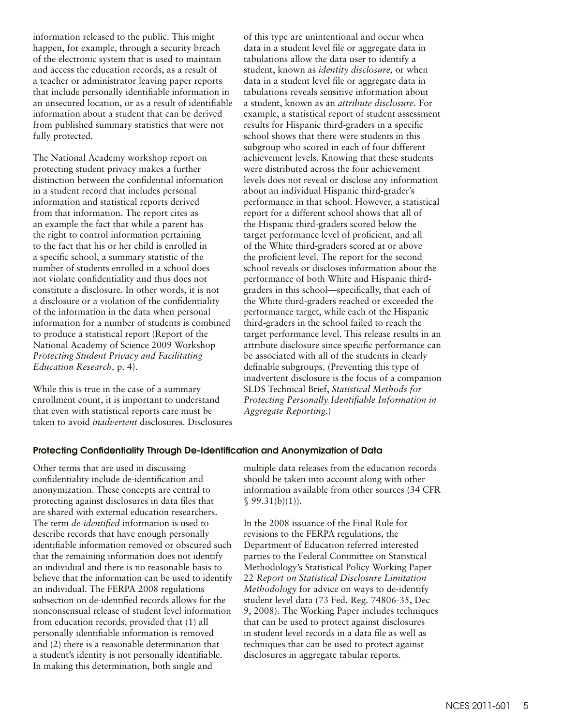information released to the public. This might happen, for example, through a security breach of the electronic system that is used to maintain and access the education records, as a result of a teacher or administrator leaving paper reports that include personally identifiable information in an unsecured location, or as a result of identifiable information about a student that can be derived from published summary statistics that were not fully protected.

The National Academy workshop report on protecting student privacy makes a further distinction between the confidential information in a student record that includes personal information and statistical reports derived from that information. The report cites as an example the fact that while a parent has the right to control information pertaining to the fact that his or her child is enrolled in a specific school, a summary statistic of the number of students enrolled in a school does not violate confidentiality and thus does not constitute a disclosure. In other words, it is not a disclosure or a violation of the confidentiality of the information in the data when personal information for a number of students is combined to produce a statistical report (Report of the National Academy of Science 2009 Workshop *Protecting Student Privacy and Facilitating Education Research,* p. 4).

While this is true in the case of a summary enrollment count, it is important to understand that even with statistical reports care must be taken to avoid *inadvertent* disclosures. Disclosures of this type are unintentional and occur when data in a student level file or aggregate data in tabulations allow the data user to identify a student, known as *identity disclosure,* or when data in a student level file or aggregate data in tabulations reveals sensitive information about a student, known as an *attribute disclosure.* For example, a statistical report of student assessment results for Hispanic third-graders in a specific school shows that there were students in this subgroup who scored in each of four different achievement levels. Knowing that these students were distributed across the four achievement levels does not reveal or disclose any information about an individual Hispanic third-grader's performance in that school. However, a statistical report for a different school shows that all of the Hispanic third-graders scored below the target performance level of proficient, and all of the White third-graders scored at or above the proficient level. The report for the second school reveals or discloses information about the performance of both White and Hispanic thirdgraders in this school—specifically, that each of the White third-graders reached or exceeded the performance target, while each of the Hispanic third-graders in the school failed to reach the target performance level. This release results in an attribute disclosure since specific performance can be associated with all of the students in clearly definable subgroups. (Preventing this type of inadvertent disclosure is the focus of a companion SLDS Technical Brief, *Statistical Methods for Protecting Personally Identifiable Information in Aggregate Reporting.*)

#### Protecting Confidentiality Through De-Identification and Anonymization of Data

Other terms that are used in discussing confidentiality include de-identification and anonymization. These concepts are central to protecting against disclosures in data files that are shared with external education researchers. The term *de-identified* information is used to describe records that have enough personally identifiable information removed or obscured such that the remaining information does not identify an individual and there is no reasonable basis to believe that the information can be used to identify an individual. The FERPA 2008 regulations subsection on de-identified records allows for the nonconsensual release of student level information from education records, provided that (1) all personally identifiable information is removed and (2) there is a reasonable determination that a student's identity is not personally identifiable. In making this determination, both single and

multiple data releases from the education records should be taken into account along with other information available from other sources (34 CFR  $$99.31(b)(1)$ .

In the 2008 issuance of the Final Rule for revisions to the FERPA regulations, the Department of Education referred interested parties to the Federal Committee on Statistical Methodology's Statistical Policy Working Paper 22 *Report on Statistical Disclosure Limitation Methodology* for advice on ways to de-identify student level data (73 Fed. Reg. 74806-35, Dec 9, 2008). The Working Paper includes techniques that can be used to protect against disclosures in student level records in a data file as well as techniques that can be used to protect against disclosures in aggregate tabular reports.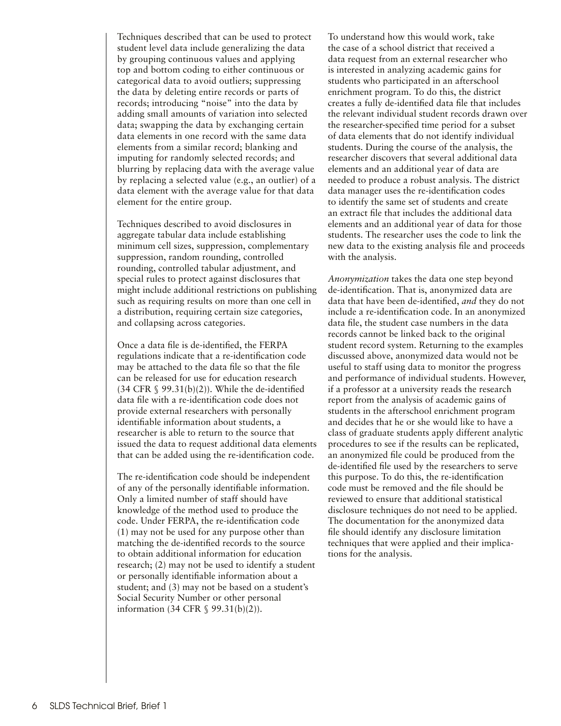Techniques described that can be used to protect student level data include generalizing the data by grouping continuous values and applying top and bottom coding to either continuous or categorical data to avoid outliers; suppressing the data by deleting entire records or parts of records; introducing "noise" into the data by adding small amounts of variation into selected data; swapping the data by exchanging certain data elements in one record with the same data elements from a similar record; blanking and imputing for randomly selected records; and blurring by replacing data with the average value by replacing a selected value (e.g., an outlier) of a data element with the average value for that data element for the entire group.

Techniques described to avoid disclosures in aggregate tabular data include establishing minimum cell sizes, suppression, complementary suppression, random rounding, controlled rounding, controlled tabular adjustment, and special rules to protect against disclosures that might include additional restrictions on publishing such as requiring results on more than one cell in a distribution, requiring certain size categories, and collapsing across categories.

Once a data file is de-identified, the FERPA regulations indicate that a re-identification code may be attached to the data file so that the file can be released for use for education research  $(34 \text{ CFR } \S$  99.31(b)(2)). While the de-identified data file with a re-identification code does not provide external researchers with personally identifiable information about students, a researcher is able to return to the source that issued the data to request additional data elements that can be added using the re-identification code.

The re-identification code should be independent of any of the personally identifiable information. Only a limited number of staff should have knowledge of the method used to produce the code. Under FERPA, the re-identification code (1) may not be used for any purpose other than matching the de-identified records to the source to obtain additional information for education research; (2) may not be used to identify a student or personally identifiable information about a student; and (3) may not be based on a student's Social Security Number or other personal information (34 CFR § 99.31(b)(2)).

To understand how this would work, take the case of a school district that received a data request from an external researcher who is interested in analyzing academic gains for students who participated in an afterschool enrichment program. To do this, the district creates a fully de-identified data file that includes the relevant individual student records drawn over the researcher-specified time period for a subset of data elements that do not identify individual students. During the course of the analysis, the researcher discovers that several additional data elements and an additional year of data are needed to produce a robust analysis. The district data manager uses the re-identification codes to identify the same set of students and create an extract file that includes the additional data elements and an additional year of data for those students. The researcher uses the code to link the new data to the existing analysis file and proceeds with the analysis.

*Anonymization* takes the data one step beyond de-identification. That is, anonymized data are data that have been de-identified, *and* they do not include a re-identification code. In an anonymized data file, the student case numbers in the data records cannot be linked back to the original student record system. Returning to the examples discussed above, anonymized data would not be useful to staff using data to monitor the progress and performance of individual students. However, if a professor at a university reads the research report from the analysis of academic gains of students in the afterschool enrichment program and decides that he or she would like to have a class of graduate students apply different analytic procedures to see if the results can be replicated, an anonymized file could be produced from the de-identified file used by the researchers to serve this purpose. To do this, the re-identification code must be removed and the file should be reviewed to ensure that additional statistical disclosure techniques do not need to be applied. The documentation for the anonymized data file should identify any disclosure limitation techniques that were applied and their implications for the analysis.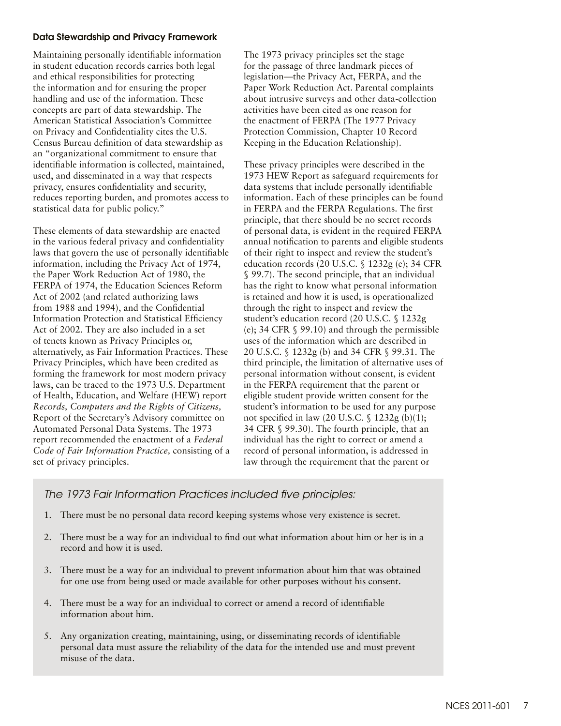## Data Stewardship and Privacy Framework

Maintaining personally identifiable information in student education records carries both legal and ethical responsibilities for protecting the information and for ensuring the proper handling and use of the information. These concepts are part of data stewardship. The American Statistical Association's Committee on Privacy and Confidentiality cites the U.S. Census Bureau definition of data stewardship as an "organizational commitment to ensure that identifiable information is collected, maintained, used, and disseminated in a way that respects privacy, ensures confidentiality and security, reduces reporting burden, and promotes access to statistical data for public policy."

These elements of data stewardship are enacted in the various federal privacy and confidentiality laws that govern the use of personally identifiable information, including the Privacy Act of 1974, the Paper Work Reduction Act of 1980, the FERPA of 1974, the Education Sciences Reform Act of 2002 (and related authorizing laws from 1988 and 1994), and the Confidential Information Protection and Statistical Efficiency Act of 2002. They are also included in a set of tenets known as Privacy Principles or, alternatively, as Fair Information Practices. These Privacy Principles, which have been credited as forming the framework for most modern privacy laws, can be traced to the 1973 U.S. Department of Health, Education, and Welfare (HEW) report *Records, Computers and the Rights of Citizens,* Report of the Secretary's Advisory committee on Automated Personal Data Systems. The 1973 report recommended the enactment of a *Federal Code of Fair Information Practice,* consisting of a set of privacy principles.

The 1973 privacy principles set the stage for the passage of three landmark pieces of legislation—the Privacy Act, FERPA, and the Paper Work Reduction Act. Parental complaints about intrusive surveys and other data-collection activities have been cited as one reason for the enactment of FERPA (The 1977 Privacy Protection Commission, Chapter 10 Record Keeping in the Education Relationship).

These privacy principles were described in the 1973 HEW Report as safeguard requirements for data systems that include personally identifiable information. Each of these principles can be found in FERPA and the FERPA Regulations. The first principle, that there should be no secret records of personal data, is evident in the required FERPA annual notification to parents and eligible students of their right to inspect and review the student's education records (20 U.S.C. § 1232g (e); 34 CFR § 99.7). The second principle, that an individual has the right to know what personal information is retained and how it is used, is operationalized through the right to inspect and review the student's education record (20 U.S.C. § 1232g (e); 34 CFR § 99.10) and through the permissible uses of the information which are described in 20 U.S.C. § 1232g (b) and 34 CFR § 99.31. The third principle, the limitation of alternative uses of personal information without consent, is evident in the FERPA requirement that the parent or eligible student provide written consent for the student's information to be used for any purpose not specified in law (20 U.S.C. § 1232g (b)(1); 34 CFR § 99.30). The fourth principle, that an individual has the right to correct or amend a record of personal information, is addressed in law through the requirement that the parent or

# *The 1973 Fair Information Practices included five principles:*

- 1. There must be no personal data record keeping systems whose very existence is secret.
- 2. There must be a way for an individual to find out what information about him or her is in a record and how it is used.
- 3. There must be a way for an individual to prevent information about him that was obtained for one use from being used or made available for other purposes without his consent.
- 4. There must be a way for an individual to correct or amend a record of identifiable information about him.
- 5. Any organization creating, maintaining, using, or disseminating records of identifiable personal data must assure the reliability of the data for the intended use and must prevent misuse of the data.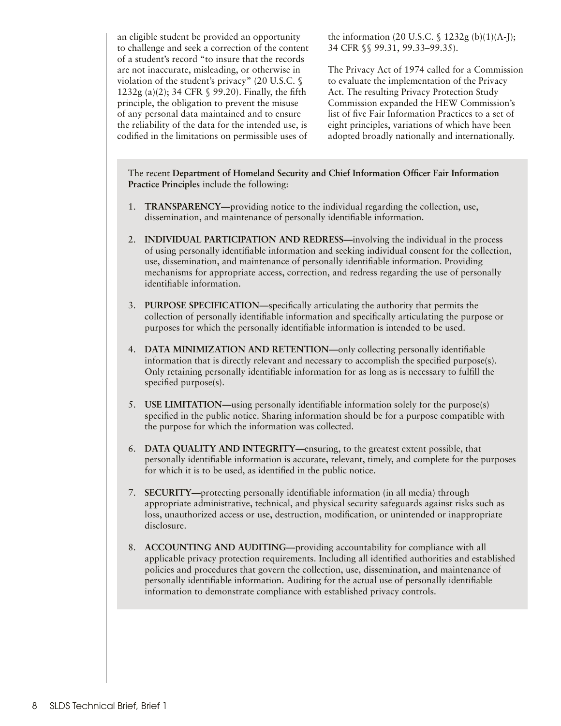an eligible student be provided an opportunity to challenge and seek a correction of the content of a student's record "to insure that the records are not inaccurate, misleading, or otherwise in violation of the student's privacy" (20 U.S.C. § 1232g (a)(2); 34 CFR § 99.20). Finally, the fifth principle, the obligation to prevent the misuse of any personal data maintained and to ensure the reliability of the data for the intended use, is codified in the limitations on permissible uses of

the information (20 U.S.C.  $\frac{6}{3}$  1232g (b)(1)(A-J); 34 CFR §§ 99.31, 99.33–99.35).

The Privacy Act of 1974 called for a Commission to evaluate the implementation of the Privacy Act. The resulting Privacy Protection Study Commission expanded the HEW Commission's list of five Fair Information Practices to a set of eight principles, variations of which have been adopted broadly nationally and internationally.

The recent **Department of Homeland Security and Chief Information Officer Fair Information Practice Principles** include the following:

- 1. **TRANSPARENCY—**providing notice to the individual regarding the collection, use, dissemination, and maintenance of personally identifiable information.
- 2. **INDIVIDUAL PARTICIPATION AND REDRESS—**involving the individual in the process of using personally identifiable information and seeking individual consent for the collection, use, dissemination, and maintenance of personally identifiable information. Providing mechanisms for appropriate access, correction, and redress regarding the use of personally identifiable information.
- 3. **PURPOSE SPECIFICATION—**specifically articulating the authority that permits the collection of personally identifiable information and specifically articulating the purpose or purposes for which the personally identifiable information is intended to be used.
- 4. **DATA MINIMIZATION AND RETENTION—**only collecting personally identifiable information that is directly relevant and necessary to accomplish the specified purpose(s). Only retaining personally identifiable information for as long as is necessary to fulfill the specified purpose(s).
- 5. **USE LIMITATION—**using personally identifiable information solely for the purpose(s) specified in the public notice. Sharing information should be for a purpose compatible with the purpose for which the information was collected.
- 6. **DATA QUALITY AND INTEGRITY—**ensuring, to the greatest extent possible, that personally identifiable information is accurate, relevant, timely, and complete for the purposes for which it is to be used, as identified in the public notice.
- 7. **SECURITY—**protecting personally identifiable information (in all media) through appropriate administrative, technical, and physical security safeguards against risks such as loss, unauthorized access or use, destruction, modification, or unintended or inappropriate disclosure.
- 8. **ACCOUNTING AND AUDITING—**providing accountability for compliance with all applicable privacy protection requirements. Including all identified authorities and established policies and procedures that govern the collection, use, dissemination, and maintenance of personally identifiable information. Auditing for the actual use of personally identifiable information to demonstrate compliance with established privacy controls.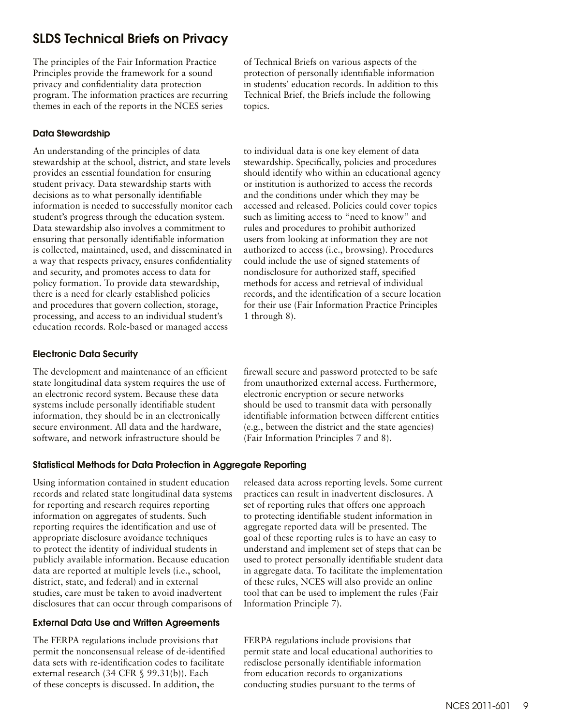# <span id="page-8-0"></span>SLDS Technical Briefs on Privacy

The principles of the Fair Information Practice Principles provide the framework for a sound privacy and confidentiality data protection program. The information practices are recurring themes in each of the reports in the NCES series

# Data Stewardship

An understanding of the principles of data stewardship at the school, district, and state levels provides an essential foundation for ensuring student privacy. Data stewardship starts with decisions as to what personally identifiable information is needed to successfully monitor each student's progress through the education system. Data stewardship also involves a commitment to ensuring that personally identifiable information is collected, maintained, used, and disseminated in a way that respects privacy, ensures confidentiality and security, and promotes access to data for policy formation. To provide data stewardship, there is a need for clearly established policies and procedures that govern collection, storage, processing, and access to an individual student's education records. Role-based or managed access

# Electronic Data Security

The development and maintenance of an efficient state longitudinal data system requires the use of an electronic record system. Because these data systems include personally identifiable student information, they should be in an electronically secure environment. All data and the hardware, software, and network infrastructure should be

of Technical Briefs on various aspects of the protection of personally identifiable information in students' education records. In addition to this Technical Brief, the Briefs include the following topics.

to individual data is one key element of data stewardship. Specifically, policies and procedures should identify who within an educational agency or institution is authorized to access the records and the conditions under which they may be accessed and released. Policies could cover topics such as limiting access to "need to know" and rules and procedures to prohibit authorized users from looking at information they are not authorized to access (i.e., browsing). Procedures could include the use of signed statements of nondisclosure for authorized staff, specified methods for access and retrieval of individual records, and the identification of a secure location for their use (Fair Information Practice Principles 1 through 8).

firewall secure and password protected to be safe from unauthorized external access. Furthermore, electronic encryption or secure networks should be used to transmit data with personally identifiable information between different entities (e.g., between the district and the state agencies) (Fair Information Principles 7 and 8).

# Statistical Methods for Data Protection in Aggregate Reporting

Using information contained in student education records and related state longitudinal data systems for reporting and research requires reporting information on aggregates of students. Such reporting requires the identification and use of appropriate disclosure avoidance techniques to protect the identity of individual students in publicly available information. Because education data are reported at multiple levels (i.e., school, district, state, and federal) and in external studies, care must be taken to avoid inadvertent disclosures that can occur through comparisons of

# External Data Use and Written Agreements

The FERPA regulations include provisions that permit the nonconsensual release of de-identified data sets with re-identification codes to facilitate external research (34 CFR § 99.31(b)). Each of these concepts is discussed. In addition, the

released data across reporting levels. Some current practices can result in inadvertent disclosures. A set of reporting rules that offers one approach to protecting identifiable student information in aggregate reported data will be presented. The goal of these reporting rules is to have an easy to understand and implement set of steps that can be used to protect personally identifiable student data in aggregate data. To facilitate the implementation of these rules, NCES will also provide an online tool that can be used to implement the rules (Fair Information Principle 7).

FERPA regulations include provisions that permit state and local educational authorities to redisclose personally identifiable information from education records to organizations conducting studies pursuant to the terms of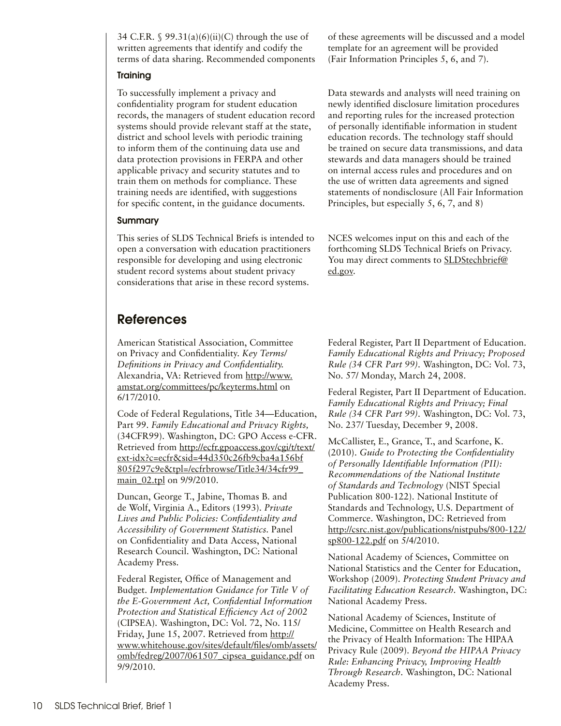<span id="page-9-0"></span>34 C.F.R. §  $99.31(a)(6)(ii)(C)$  through the use of written agreements that identify and codify the terms of data sharing. Recommended components

## **Training**

To successfully implement a privacy and confidentiality program for student education records, the managers of student education record systems should provide relevant staff at the state, district and school levels with periodic training to inform them of the continuing data use and data protection provisions in FERPA and other applicable privacy and security statutes and to train them on methods for compliance. These training needs are identified, with suggestions for specific content, in the guidance documents.

## Summary

This series of SLDS Technical Briefs is intended to open a conversation with education practitioners responsible for developing and using electronic student record systems about student privacy considerations that arise in these record systems.

# References

American Statistical Association, Committee on Privacy and Confidentiality. *Key Terms/ Definitions in Privacy and Confidentiality.*  Alexandria, VA: Retrieved from [http://www.](http://www.amstat.org/committees/pc/keyterms.html) [amstat.org/committees/pc/keyterms.html](http://www.amstat.org/committees/pc/keyterms.html) on 6/17/2010.

Code of Federal Regulations, Title 34—Education, Part 99. *Family Educational and Privacy Rights,* (34CFR99). Washington, DC: GPO Access e-CFR. Retrieved from [http://ecfr.gpoaccess.gov/cgi/t/text/](http://ecfr.gpoaccess.gov/cgi/t/text/ext-idx?c=ecfr&sid=44d350c26fb9cba4a156bf805f297c9e&tpl=/ecfrbrowse/Title34/34cfr99_main_02.tpl) [ext-idx?c=ecfr&sid=44d350c26fb9cba4a156bf](http://ecfr.gpoaccess.gov/cgi/t/text/ext-idx?c=ecfr&sid=44d350c26fb9cba4a156bf805f297c9e&tpl=/ecfrbrowse/Title34/34cfr99_main_02.tpl) [805f297c9e&tpl=/ecfrbrowse/Title34/34cfr99\\_](http://ecfr.gpoaccess.gov/cgi/t/text/ext-idx?c=ecfr&sid=44d350c26fb9cba4a156bf805f297c9e&tpl=/ecfrbrowse/Title34/34cfr99_main_02.tpl) main 02.tpl on 9/9/2010.

Duncan, George T., Jabine, Thomas B. and de Wolf, Virginia A., Editors (1993). *Private Lives and Public Policies: Confidentiality and Accessibility of Government Statistics.* Panel on Confidentiality and Data Access, National Research Council. Washington, DC: National Academy Press.

Federal Register, Office of Management and Budget. *Implementation Guidance for Title V of the E-Government Act, Confidential Information Protection and Statistical Efficiency Act of 2002*  (CIPSEA). Washington, DC: Vol. 72, No. 115/ Friday, June 15, 2007. Retrieved from [http://](http://www.whitehouse.gov/sites/default/files/omb/assets/omb/fedreg/2007/061507_cipsea_guidance.pdf) [www.whitehouse.gov/sites/default/files/omb/assets/](http://www.whitehouse.gov/sites/default/files/omb/assets/omb/fedreg/2007/061507_cipsea_guidance.pdf) [omb/fedreg/2007/061507\\_cipsea\\_guidance.pdf](http://www.whitehouse.gov/sites/default/files/omb/assets/omb/fedreg/2007/061507_cipsea_guidance.pdf) on 9/9/2010.

of these agreements will be discussed and a model template for an agreement will be provided (Fair Information Principles 5, 6, and 7).

Data stewards and analysts will need training on newly identified disclosure limitation procedures and reporting rules for the increased protection of personally identifiable information in student education records. The technology staff should be trained on secure data transmissions, and data stewards and data managers should be trained on internal access rules and procedures and on the use of written data agreements and signed statements of nondisclosure (All Fair Information Principles, but especially 5, 6, 7, and 8)

NCES welcomes input on this and each of the forthcoming SLDS Technical Briefs on Privacy. You may direct comments to **[SLDStechbrief@](mailto:SLDStechbrief%40ed.gov?subject=)** [ed.gov](mailto:SLDStechbrief%40ed.gov?subject=).

Federal Register, Part II Department of Education. *Family Educational Rights and Privacy; Proposed Rule (34 CFR Part 99).* Washington, DC: Vol. 73, No. 57/ Monday, March 24, 2008.

Federal Register, Part II Department of Education. *Family Educational Rights and Privacy; Final Rule (34 CFR Part 99).* Washington, DC: Vol. 73, No. 237/ Tuesday, December 9, 2008.

McCallister, E., Grance, T., and Scarfone, K. (2010). *Guide to Protecting the Confidentiality of Personally Identifiable Information (PII): Recommendations of the National Institute of Standards and Technology* (NIST Special Publication 800-122). National Institute of Standards and Technology, U.S. Department of Commerce. Washington, DC: Retrieved from [http://csrc.nist.gov/publications/nistpubs/800-122/](http://csrc.nist.gov/publications/nistpubs/800-122/sp800-122.pdf) [sp800-122.pdf](http://csrc.nist.gov/publications/nistpubs/800-122/sp800-122.pdf) on 5/4/2010.

National Academy of Sciences, Committee on National Statistics and the Center for Education, Workshop (2009). *Protecting Student Privacy and Facilitating Education Research.* Washington, DC: National Academy Press.

National Academy of Sciences, Institute of Medicine, Committee on Health Research and the Privacy of Health Information: The HIPAA Privacy Rule (2009). *Beyond the HIPAA Privacy Rule: Enhancing Privacy, Improving Health Through Research.* Washington, DC: National Academy Press.